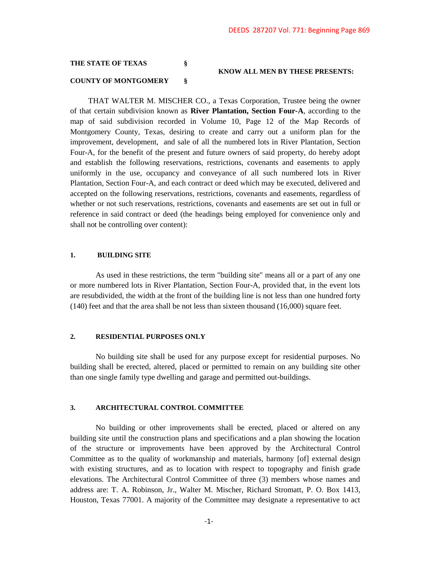# **THE STATE OF TEXAS § KNOW ALL MEN BY THESE PRESENTS: COUNTY OF MONTGOMERY §**

 THAT WALTER M. MISCHER CO., a Texas Corporation, Trustee being the owner of that certain subdivision known as **River Plantation, Section Four-A**, according to the map of said subdivision recorded in Volume 10, Page 12 of the Map Records of Montgomery County, Texas, desiring to create and carry out a uniform plan for the improvement, development, and sale of all the numbered lots in River Plantation, Section Four-A, for the benefit of the present and future owners of said property, do hereby adopt and establish the following reservations, restrictions, covenants and easements to apply uniformly in the use, occupancy and conveyance of all such numbered lots in River Plantation, Section Four-A, and each contract or deed which may be executed, delivered and accepted on the following reservations, restrictions, covenants and easements, regardless of whether or not such reservations, restrictions, covenants and easements are set out in full or reference in said contract or deed (the headings being employed for convenience only and shall not be controlling over content):

### **1. BUILDING SITE**

As used in these restrictions, the term "building site" means all or a part of any one or more numbered lots in River Plantation, Section Four-A, provided that, in the event lots are resubdivided, the width at the front of the building line is not less than one hundred forty (140) feet and that the area shall be not less than sixteen thousand (16,000) square feet.

# **2. RESIDENTIAL PURPOSES ONLY**

No building site shall be used for any purpose except for residential purposes. No building shall be erected, altered, placed or permitted to remain on any building site other than one single family type dwelling and garage and permitted out-buildings.

### **3. ARCHITECTURAL CONTROL COMMITTEE**

No building or other improvements shall be erected, placed or altered on any building site until the construction plans and specifications and a plan showing the location of the structure or improvements have been approved by the Architectural Control Committee as to the quality of workmanship and materials, harmony [of] external design with existing structures, and as to location with respect to topography and finish grade elevations. The Architectural Control Committee of three (3) members whose names and address are: T. A. Robinson, Jr., Walter M. Mischer, Richard Stromatt, P. O. Box 1413, Houston, Texas 77001. A majority of the Committee may designate a representative to act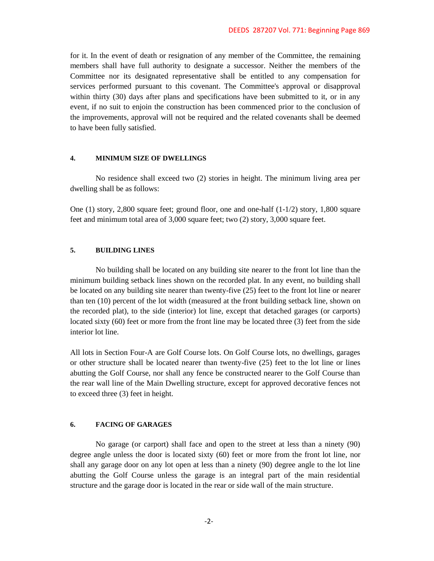for it. In the event of death or resignation of any member of the Committee, the remaining members shall have full authority to designate a successor. Neither the members of the Committee nor its designated representative shall be entitled to any compensation for services performed pursuant to this covenant. The Committee's approval or disapproval within thirty (30) days after plans and specifications have been submitted to it, or in any event, if no suit to enjoin the construction has been commenced prior to the conclusion of the improvements, approval will not be required and the related covenants shall be deemed to have been fully satisfied.

### **4. MINIMUM SIZE OF DWELLINGS**

No residence shall exceed two (2) stories in height. The minimum living area per dwelling shall be as follows:

One (1) story, 2,800 square feet; ground floor, one and one-half (1-1/2) story, 1,800 square feet and minimum total area of 3,000 square feet; two (2) story, 3,000 square feet.

# **5. BUILDING LINES**

No building shall be located on any building site nearer to the front lot line than the minimum building setback lines shown on the recorded plat. In any event, no building shall be located on any building site nearer than twenty-five (25) feet to the front lot line or nearer than ten (10) percent of the lot width (measured at the front building setback line, shown on the recorded plat), to the side (interior) lot line, except that detached garages (or carports) located sixty (60) feet or more from the front line may be located three (3) feet from the side interior lot line.

All lots in Section Four-A are Golf Course lots. On Golf Course lots, no dwellings, garages or other structure shall be located nearer than twenty-five (25) feet to the lot line or lines abutting the Golf Course, nor shall any fence be constructed nearer to the Golf Course than the rear wall line of the Main Dwelling structure, except for approved decorative fences not to exceed three (3) feet in height.

### **6. FACING OF GARAGES**

No garage (or carport) shall face and open to the street at less than a ninety (90) degree angle unless the door is located sixty (60) feet or more from the front lot line, nor shall any garage door on any lot open at less than a ninety (90) degree angle to the lot line abutting the Golf Course unless the garage is an integral part of the main residential structure and the garage door is located in the rear or side wall of the main structure.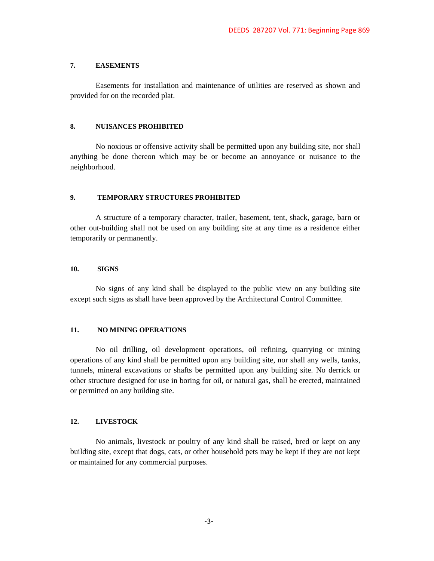#### **7. EASEMENTS**

Easements for installation and maintenance of utilities are reserved as shown and provided for on the recorded plat.

# **8. NUISANCES PROHIBITED**

No noxious or offensive activity shall be permitted upon any building site, nor shall anything be done thereon which may be or become an annoyance or nuisance to the neighborhood.

# **9. TEMPORARY STRUCTURES PROHIBITED**

A structure of a temporary character, trailer, basement, tent, shack, garage, barn or other out-building shall not be used on any building site at any time as a residence either temporarily or permanently.

# **10. SIGNS**

No signs of any kind shall be displayed to the public view on any building site except such signs as shall have been approved by the Architectural Control Committee.

#### **11. NO MINING OPERATIONS**

No oil drilling, oil development operations, oil refining, quarrying or mining operations of any kind shall be permitted upon any building site, nor shall any wells, tanks, tunnels, mineral excavations or shafts be permitted upon any building site. No derrick or other structure designed for use in boring for oil, or natural gas, shall be erected, maintained or permitted on any building site.

# **12. LIVESTOCK**

No animals, livestock or poultry of any kind shall be raised, bred or kept on any building site, except that dogs, cats, or other household pets may be kept if they are not kept or maintained for any commercial purposes.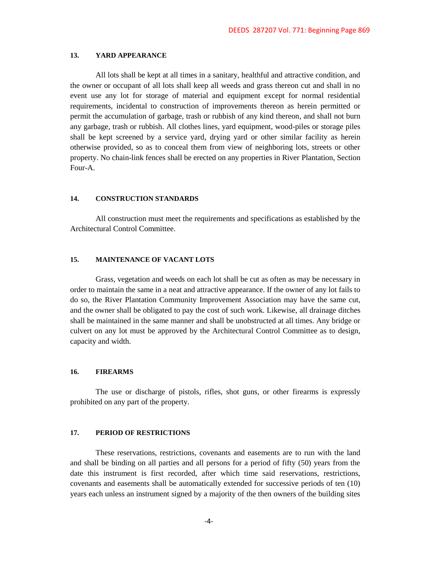# **13. YARD APPEARANCE**

All lots shall be kept at all times in a sanitary, healthful and attractive condition, and the owner or occupant of all lots shall keep all weeds and grass thereon cut and shall in no event use any lot for storage of material and equipment except for normal residential requirements, incidental to construction of improvements thereon as herein permitted or permit the accumulation of garbage, trash or rubbish of any kind thereon, and shall not burn any garbage, trash or rubbish. All clothes lines, yard equipment, wood-piles or storage piles shall be kept screened by a service yard, drying yard or other similar facility as herein otherwise provided, so as to conceal them from view of neighboring lots, streets or other property. No chain-link fences shall be erected on any properties in River Plantation, Section Four-A.

#### **14. CONSTRUCTION STANDARDS**

All construction must meet the requirements and specifications as established by the Architectural Control Committee.

### **15. MAINTENANCE OF VACANT LOTS**

Grass, vegetation and weeds on each lot shall be cut as often as may be necessary in order to maintain the same in a neat and attractive appearance. If the owner of any lot fails to do so, the River Plantation Community Improvement Association may have the same cut, and the owner shall be obligated to pay the cost of such work. Likewise, all drainage ditches shall be maintained in the same manner and shall be unobstructed at all times. Any bridge or culvert on any lot must be approved by the Architectural Control Committee as to design, capacity and width.

#### **16. FIREARMS**

The use or discharge of pistols, rifles, shot guns, or other firearms is expressly prohibited on any part of the property.

# **17. PERIOD OF RESTRICTIONS**

These reservations, restrictions, covenants and easements are to run with the land and shall be binding on all parties and all persons for a period of fifty (50) years from the date this instrument is first recorded, after which time said reservations, restrictions, covenants and easements shall be automatically extended for successive periods of ten (10) years each unless an instrument signed by a majority of the then owners of the building sites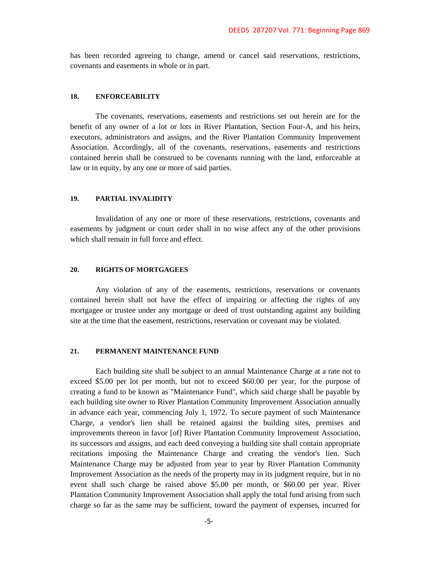has been recorded agreeing to change, amend or cancel said reservations, restrictions, covenants and easements in whole or in part.

## **18. ENFORCEABILITY**

The covenants, reservations, easements and restrictions set out herein are for the benefit of any owner of a lot or lots in River Plantation, Section Four-A, and his heirs, executors, administrators and assigns, and the River Plantation Community Improvement Association. Accordingly, all of the covenants, reservations, easements and restrictions contained herein shall be construed to be covenants running with the land, enforceable at law or in equity, by any one or more of said parties.

# **19. PARTIAL INVALIDITY**

Invalidation of any one or more of these reservations, restrictions, covenants and easements by judgment or court order shall in no wise affect any of the other provisions which shall remain in full force and effect.

#### **20. RIGHTS OF MORTGAGEES**

Any violation of any of the easements, restrictions, reservations or covenants contained herein shall not have the effect of impairing or affecting the rights of any mortgagee or trustee under any mortgage or deed of trust outstanding against any building site at the time that the easement, restrictions, reservation or covenant may be violated.

## **21. PERMANENT MAINTENANCE FUND**

Each building site shall be subject to an annual Maintenance Charge at a rate not to exceed \$5.00 per lot per month, but not to exceed \$60.00 per year, for the purpose of creating a fund to be known as "Maintenance Fund", which said charge shall be payable by each building site owner to River Plantation Community Improvement Association annually in advance each year, commencing July 1, 1972. To secure payment of such Maintenance Charge, a vendor's lien shall be retained against the building sites, premises and improvements thereon in favor [of] River Plantation Community Improvement Association, its successors and assigns, and each deed conveying a building site shall contain appropriate recitations imposing the Maintenance Charge and creating the vendor's lien. Such Maintenance Charge may be adjusted from year to year by River Plantation Community Improvement Association as the needs of the property may in its judgment require, but in no event shall such charge be raised above \$5.00 per month, or \$60.00 per year. River Plantation Community Improvement Association shall apply the total fund arising from such charge so far as the same may be sufficient, toward the payment of expenses, incurred for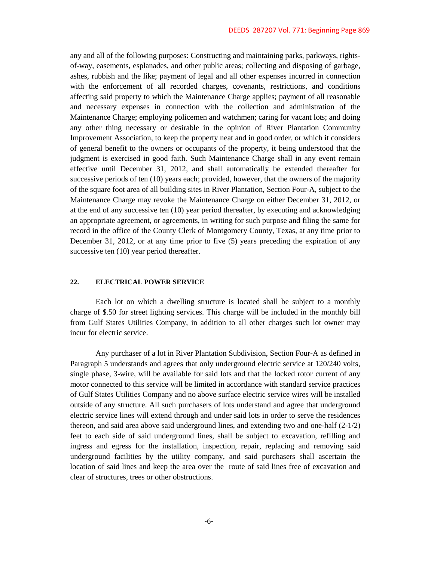any and all of the following purposes: Constructing and maintaining parks, parkways, rightsof-way, easements, esplanades, and other public areas; collecting and disposing of garbage, ashes, rubbish and the like; payment of legal and all other expenses incurred in connection with the enforcement of all recorded charges, covenants, restrictions, and conditions affecting said property to which the Maintenance Charge applies; payment of all reasonable and necessary expenses in connection with the collection and administration of the Maintenance Charge; employing policemen and watchmen; caring for vacant lots; and doing any other thing necessary or desirable in the opinion of River Plantation Community Improvement Association, to keep the property neat and in good order, or which it considers of general benefit to the owners or occupants of the property, it being understood that the judgment is exercised in good faith. Such Maintenance Charge shall in any event remain effective until December 31, 2012, and shall automatically be extended thereafter for successive periods of ten (10) years each; provided, however, that the owners of the majority of the square foot area of all building sites in River Plantation, Section Four-A, subject to the Maintenance Charge may revoke the Maintenance Charge on either December 31, 2012, or at the end of any successive ten (10) year period thereafter, by executing and acknowledging an appropriate agreement, or agreements, in writing for such purpose and filing the same for record in the office of the County Clerk of Montgomery County, Texas, at any time prior to December 31, 2012, or at any time prior to five (5) years preceding the expiration of any successive ten  $(10)$  year period thereafter.

## **22. ELECTRICAL POWER SERVICE**

Each lot on which a dwelling structure is located shall be subject to a monthly charge of \$.50 for street lighting services. This charge will be included in the monthly bill from Gulf States Utilities Company, in addition to all other charges such lot owner may incur for electric service.

Any purchaser of a lot in River Plantation Subdivision, Section Four-A as defined in Paragraph 5 understands and agrees that only underground electric service at 120/240 volts, single phase, 3-wire, will be available for said lots and that the locked rotor current of any motor connected to this service will be limited in accordance with standard service practices of Gulf States Utilities Company and no above surface electric service wires will be installed outside of any structure. All such purchasers of lots understand and agree that underground electric service lines will extend through and under said lots in order to serve the residences thereon, and said area above said underground lines, and extending two and one-half (2-1/2) feet to each side of said underground lines, shall be subject to excavation, refilling and ingress and egress for the installation, inspection, repair, replacing and removing said underground facilities by the utility company, and said purchasers shall ascertain the location of said lines and keep the area over the route of said lines free of excavation and clear of structures, trees or other obstructions.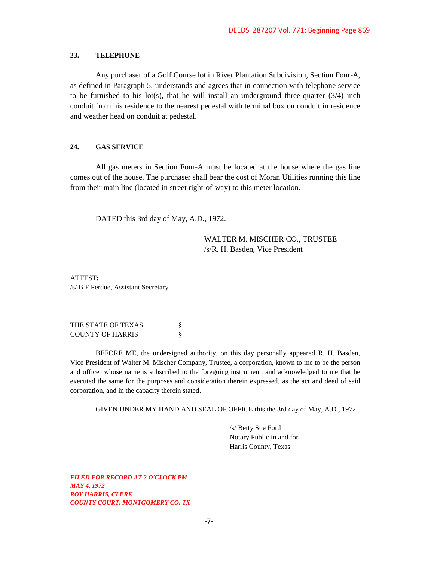## **23. TELEPHONE**

Any purchaser of a Golf Course lot in River Plantation Subdivision, Section Four-A, as defined in Paragraph 5, understands and agrees that in connection with telephone service to be furnished to his lot(s), that he will install an underground three-quarter  $(3/4)$  inch conduit from his residence to the nearest pedestal with terminal box on conduit in residence and weather head on conduit at pedestal.

### **24. GAS SERVICE**

All gas meters in Section Four-A must be located at the house where the gas line comes out of the house. The purchaser shall bear the cost of Moran Utilities running this line from their main line (located in street right-of-way) to this meter location.

DATED this 3rd day of May, A.D., 1972.

WALTER M. MISCHER CO., TRUSTEE /s/R. H. Basden, Vice President

ATTEST: /s/ B F Perdue, Assistant Secretary

| THE STATE OF TEXAS      |  |
|-------------------------|--|
| <b>COUNTY OF HARRIS</b> |  |

BEFORE ME, the undersigned authority, on this day personally appeared R. H. Basden, Vice President of Walter M. Mischer Company, Trustee, a corporation, known to me to be the person and officer whose name is subscribed to the foregoing instrument, and acknowledged to me that he executed the same for the purposes and consideration therein expressed, as the act and deed of said corporation, and in the capacity therein stated.

GIVEN UNDER MY HAND AND SEAL OF OFFICE this the 3rd day of May, A.D., 1972.

/s/ Betty Sue Ford Notary Public in and for Harris County, Texas

*FILED FOR RECORD AT 2 O'CLOCK PM MAY 4, 1972 ROY HARRIS, CLERK COUNTY COURT, MONTGOMERY CO. TX*